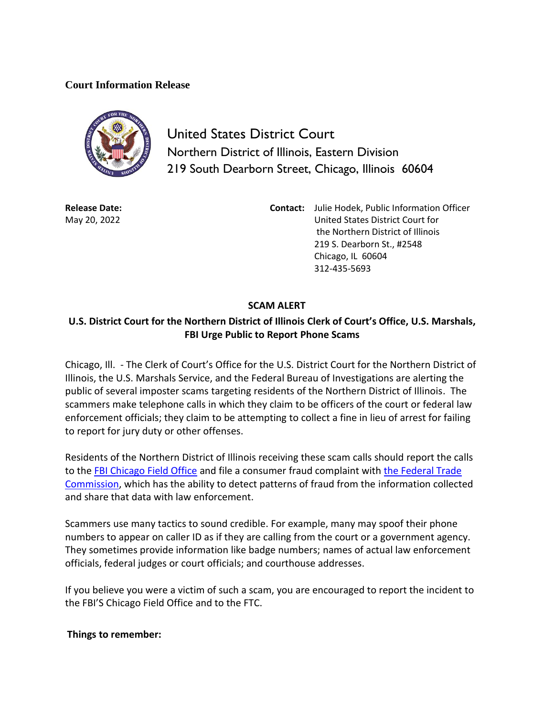## **Court Information Release**



United States District Court Northern District of Illinois, Eastern Division 219 South Dearborn Street, Chicago, Illinois 60604

**Release Date:** May 20, 2022

**Contact:** Julie Hodek, Public Information Officer United States District Court for the Northern District of Illinois 219 S. Dearborn St., #2548 Chicago, IL 60604 312-435-5693

## **SCAM ALERT**

## **U.S. District Court for the Northern District of Illinois Clerk of Court's Office, U.S. Marshals, FBI Urge Public to Report Phone Scams**

Chicago, Ill. - The Clerk of Court's Office for the U.S. District Court for the Northern District of Illinois, the U.S. Marshals Service, and the Federal Bureau of Investigations are alerting the public of several imposter scams targeting residents of the Northern District of Illinois. The scammers make telephone calls in which they claim to be officers of the court or federal law enforcement officials; they claim to be attempting to collect a fine in lieu of arrest for failing to report for jury duty or other offenses.

Residents of the Northern District of Illinois receiving these scam calls should report the calls to the [FBI Chicago Field Office](https://www.fbi.gov/contact-us/field-offices/chicago) and file a consumer fraud complaint with [the Federal Trade](https://www.ftccomplaintassistant.gov/Information#crnt&panel1-1)  [Commission,](https://www.ftccomplaintassistant.gov/Information#crnt&panel1-1) which has the ability to detect patterns of fraud from the information collected and share that data with law enforcement.

Scammers use many tactics to sound credible. For example, many may spoof their phone numbers to appear on caller ID as if they are calling from the court or a government agency. They sometimes provide information like badge numbers; names of actual law enforcement officials, federal judges or court officials; and courthouse addresses.

If you believe you were a victim of such a scam, you are encouraged to report the incident to the FBI'S Chicago Field Office and to the FTC.

## **Things to remember:**